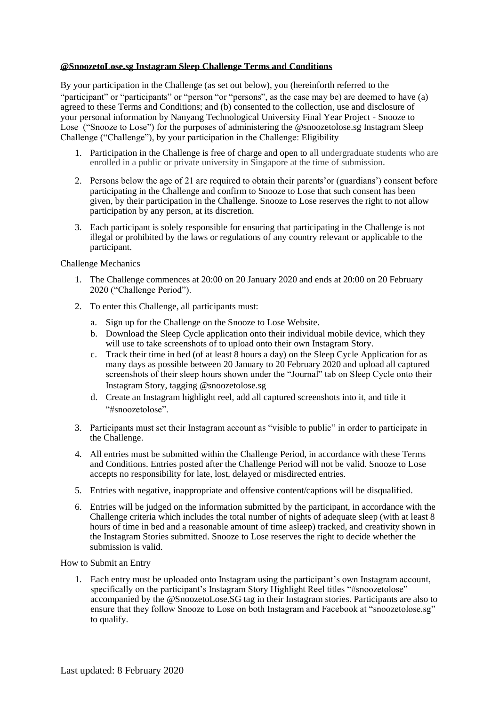## **@SnoozetoLose.sg Instagram Sleep Challenge Terms and Conditions**

By your participation in the Challenge (as set out below), you (hereinforth referred to the "participant" or "participants" or "person "or "persons", as the case may be) are deemed to have (a) agreed to these Terms and Conditions; and (b) consented to the collection, use and disclosure of your personal information by Nanyang Technological University Final Year Project - Snooze to Lose ("Snooze to Lose") for the purposes of administering the @snoozetolose.sg Instagram Sleep Challenge ("Challenge"), by your participation in the Challenge: Eligibility

- 1. Participation in the Challenge is free of charge and open to all undergraduate students who are enrolled in a public or private university in Singapore at the time of submission.
- 2. Persons below the age of 21 are required to obtain their parents'or (guardians') consent before participating in the Challenge and confirm to Snooze to Lose that such consent has been given, by their participation in the Challenge. Snooze to Lose reserves the right to not allow participation by any person, at its discretion.
- 3. Each participant is solely responsible for ensuring that participating in the Challenge is not illegal or prohibited by the laws or regulations of any country relevant or applicable to the participant.

## Challenge Mechanics

- 1. The Challenge commences at 20:00 on 20 January 2020 and ends at 20:00 on 20 February 2020 ("Challenge Period").
- 2. To enter this Challenge, all participants must:
	- a. Sign up for the Challenge on the Snooze to Lose Website.
	- b. Download the Sleep Cycle application onto their individual mobile device, which they will use to take screenshots of to upload onto their own Instagram Story.
	- c. Track their time in bed (of at least 8 hours a day) on the Sleep Cycle Application for as many days as possible between 20 January to 20 February 2020 and upload all captured screenshots of their sleep hours shown under the "Journal" tab on Sleep Cycle onto their Instagram Story, tagging @snoozetolose.sg
	- d. Create an Instagram highlight reel, add all captured screenshots into it, and title it "#snoozetolose".
- 3. Participants must set their Instagram account as "visible to public" in order to participate in the Challenge.
- 4. All entries must be submitted within the Challenge Period, in accordance with these Terms and Conditions. Entries posted after the Challenge Period will not be valid. Snooze to Lose accepts no responsibility for late, lost, delayed or misdirected entries.
- 5. Entries with negative, inappropriate and offensive content/captions will be disqualified.
- 6. Entries will be judged on the information submitted by the participant, in accordance with the Challenge criteria which includes the total number of nights of adequate sleep (with at least 8 hours of time in bed and a reasonable amount of time asleep) tracked, and creativity shown in the Instagram Stories submitted. Snooze to Lose reserves the right to decide whether the submission is valid.

How to Submit an Entry

1. Each entry must be uploaded onto Instagram using the participant's own Instagram account, specifically on the participant's Instagram Story Highlight Reel titles "#snoozetolose" accompanied by the @SnoozetoLose.SG tag in their Instagram stories. Participants are also to ensure that they follow Snooze to Lose on both Instagram and Facebook at "snoozetolose.sg" to qualify.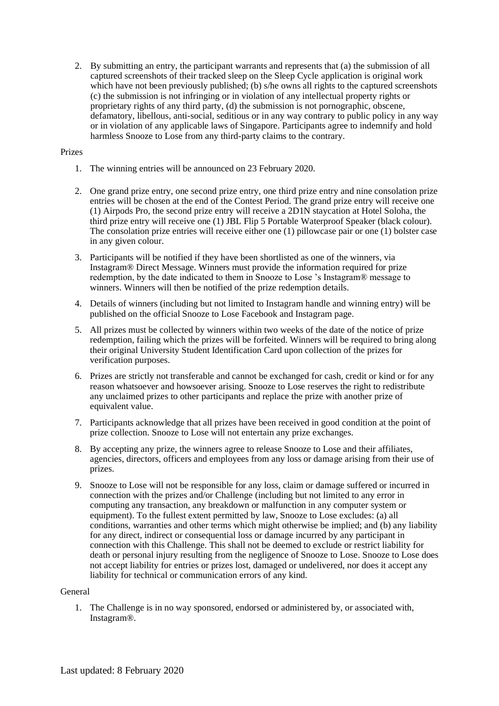2. By submitting an entry, the participant warrants and represents that (a) the submission of all captured screenshots of their tracked sleep on the Sleep Cycle application is original work which have not been previously published; (b) s/he owns all rights to the captured screenshots (c) the submission is not infringing or in violation of any intellectual property rights or proprietary rights of any third party, (d) the submission is not pornographic, obscene, defamatory, libellous, anti-social, seditious or in any way contrary to public policy in any way or in violation of any applicable laws of Singapore. Participants agree to indemnify and hold harmless Snooze to Lose from any third-party claims to the contrary.

## Prizes

- 1. The winning entries will be announced on 23 February 2020.
- 2. One grand prize entry, one second prize entry, one third prize entry and nine consolation prize entries will be chosen at the end of the Contest Period. The grand prize entry will receive one (1) Airpods Pro, the second prize entry will receive a 2D1N staycation at Hotel Soloha, the third prize entry will receive one (1) JBL Flip 5 Portable Waterproof Speaker (black colour). The consolation prize entries will receive either one (1) pillowcase pair or one (1) bolster case in any given colour.
- 3. Participants will be notified if they have been shortlisted as one of the winners, via Instagram® Direct Message. Winners must provide the information required for prize redemption, by the date indicated to them in Snooze to Lose 's Instagram® message to winners. Winners will then be notified of the prize redemption details.
- 4. Details of winners (including but not limited to Instagram handle and winning entry) will be published on the official Snooze to Lose Facebook and Instagram page.
- 5. All prizes must be collected by winners within two weeks of the date of the notice of prize redemption, failing which the prizes will be forfeited. Winners will be required to bring along their original University Student Identification Card upon collection of the prizes for verification purposes.
- 6. Prizes are strictly not transferable and cannot be exchanged for cash, credit or kind or for any reason whatsoever and howsoever arising. Snooze to Lose reserves the right to redistribute any unclaimed prizes to other participants and replace the prize with another prize of equivalent value.
- 7. Participants acknowledge that all prizes have been received in good condition at the point of prize collection. Snooze to Lose will not entertain any prize exchanges.
- 8. By accepting any prize, the winners agree to release Snooze to Lose and their affiliates, agencies, directors, officers and employees from any loss or damage arising from their use of prizes.
- 9. Snooze to Lose will not be responsible for any loss, claim or damage suffered or incurred in connection with the prizes and/or Challenge (including but not limited to any error in computing any transaction, any breakdown or malfunction in any computer system or equipment). To the fullest extent permitted by law, Snooze to Lose excludes: (a) all conditions, warranties and other terms which might otherwise be implied; and (b) any liability for any direct, indirect or consequential loss or damage incurred by any participant in connection with this Challenge. This shall not be deemed to exclude or restrict liability for death or personal injury resulting from the negligence of Snooze to Lose. Snooze to Lose does not accept liability for entries or prizes lost, damaged or undelivered, nor does it accept any liability for technical or communication errors of any kind.

## General

1. The Challenge is in no way sponsored, endorsed or administered by, or associated with, Instagram®.